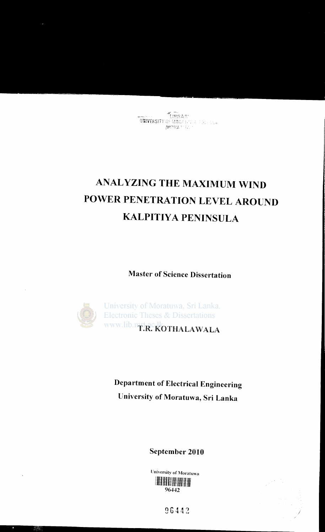# **ANALYZING THE MAXIMUM WIND** POWER PENETRATION LEVEL AROUND **KALPITIYA PENINSULA**

**Master of Science Dissertation** 



**Department of Electrical Engineering** University of Moratuwa, Sri Lanka

September 2010

University of Moratuwa 96442

96442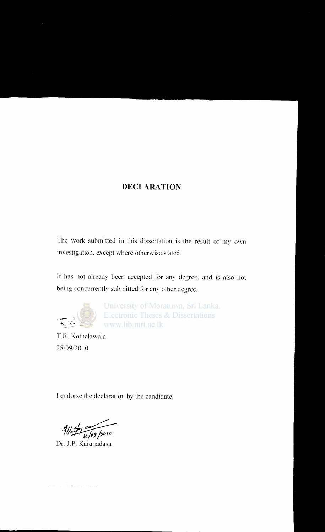#### **DECLARATION**

The work submitted in this dissertation is the result of my own investigation, except where otherwise stated.

It has not already been accepted for any degree, and is also not being concurrently submitted for any other degree.



University of Moratuwa, Sri Lanka. **Electronic Theses & Dissertations** www.lib.mrt.ac.lk

T.R. Kothalawala 28/09/2010

I endorse the declaration by the candidate.

111~

Dr. J.P. Karunadasa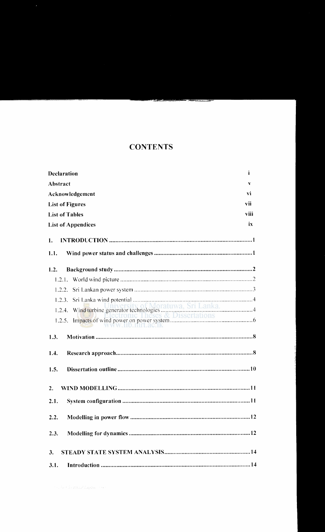#### **CONTENTS**

| <b>Declaration</b>        | i.      |
|---------------------------|---------|
| <b>Abstract</b>           | v       |
| Acknowledgement           | vi      |
| <b>List of Figures</b>    | vii     |
| <b>List of Tables</b>     | viii    |
| <b>List of Appendices</b> | ix      |
| 1.                        |         |
| 1.1.                      |         |
| 1.2.                      |         |
|                           |         |
| 1.2.2.                    |         |
| 1.2.3.                    |         |
|                           | a.<br>4 |
| 'W. 110. mni. actik       |         |
| 1.3.                      |         |
| 1.4.                      |         |
| 1.5.                      |         |
| 2.                        |         |
| 2.1.                      |         |
| 2.2.                      |         |
| 2.3.                      |         |
| 3.                        |         |
| 3.1.                      |         |

the Art We WAND Lagan comes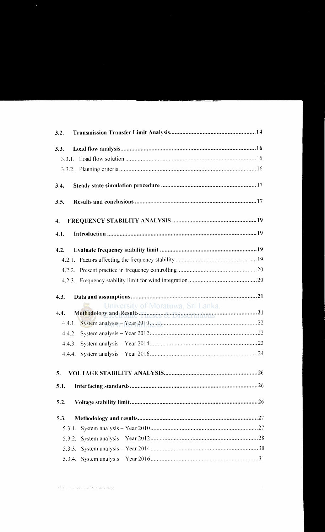| 3.2.                                                                   |
|------------------------------------------------------------------------|
| 3.3.                                                                   |
|                                                                        |
|                                                                        |
| 3.4.                                                                   |
| 3.5.                                                                   |
| 4.                                                                     |
| 4.1.                                                                   |
| 4.2.                                                                   |
|                                                                        |
|                                                                        |
|                                                                        |
| 4.3.                                                                   |
| University of Moratuwa, Sri Lanka.                                     |
| Methodology and Results meses we preservations communicated 21<br>4.4. |
| 4.4.1. System analysis - Year 2010. Manufacture - 22                   |
|                                                                        |
|                                                                        |
|                                                                        |
| 5.                                                                     |
| 5.1.                                                                   |
| 5.2.                                                                   |
| 5.3.                                                                   |
| 5.3.1.                                                                 |
| 5.3.2.                                                                 |
|                                                                        |
|                                                                        |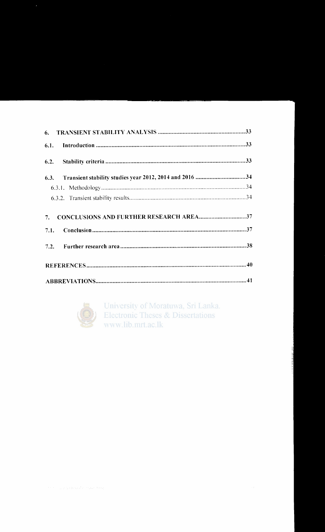| 7. CONCLUSIONS AND FURTHER RESEARCH AREA37 |  |
|--------------------------------------------|--|
|                                            |  |
|                                            |  |
|                                            |  |
|                                            |  |



University of Moratuwa, Sri Lanka. **Electronic Theses & Dissertations** www.lib.mrt.ac.lk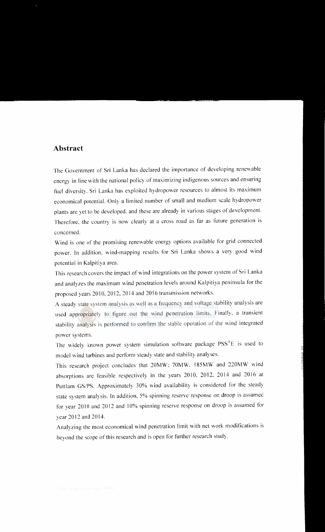#### **Abstract**

The Government of Sri Lanka has declared the importance of developing renewable energy in line with the national policy of maximizing indigenous sources and ensuring fuel diversity. Sri Lanka has exploited hydropower resources to almost its maximum economical potential. Only a limited number of small and medium scale hydropower plants are yet to be developed. and these are already in various stages of development. Therefore, the country is now clearly at a cross road as far as future generation is concerned.

Wind is one of the promising renewable energy options available for grid connected power. In addition, wind-mapping results for Sri Lanka shows a very good wind potential in Kalpitiya area.

This research covers the impact of wind integrations on the power system of Sri Lanka and analyzes the maximum wind penetration levels around Kalpitiya peninsula for the proposed years 2010, 2012, 2014 and 2016 transmission networks.

A steady state system analysis as well as a frequency and voltage stability analysis are used appropriately to figure out the wind penetration limits. Finally, a transient stability analysis is performed to confirm the stable operation of the wind integrated power systems.

The widely known power system simulation software package  $PSS^*E$  is used to model wind turbines and perform steady state and stability analyses.

This research project concludes that 20MW: 70MW. 185MW and 220MW wind absorptions are feasible respectively in the years 2010, 2012, 2014 and 2016 at Puttlam GS/PS. Approximately 30% wind availability is considered for the steady state system analysis. In addition, 5% spinning reserve response on droop is assumed for year 2010 and 2012 and 10% spinning reserve response on droop is assumed for year 2012 and 2014.

Analyzing the most economical wind penetration limit with net work modifications is beyond the scope of this research and is open for further research study.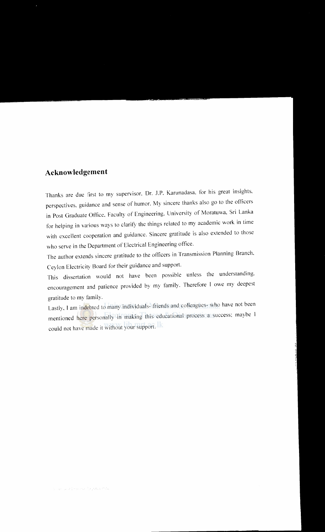#### **Acknowledgement**

Thanks are due first to my supervisor. Dr. J.P. Karunadasa. for his great insights. perspectives. guidance and sense of humor. My sincere thanks also go to the officers in Post Graduate Office. Faculty of Engineering. University of Moratuwa. Sri Lanka for helping in various ways to clarify the things related to my academic work in time with excellent cooperation and guidance. Sincere gratitude is also extended to those who serve in the Department of Electrical Engineering office.

The author extends sincere gratitude to the officers in Transmission Planning Branch. Ceylon Electricity Board for their guidance and support.

This dissertation would not have been possible unless the understanding. encouragement and patience provided by my family. Therefore I owe my deepest gratitude to my family.

Lastly. I am indebted to many individuals- friends and colleagues- who have not been mentioned here personally in making this educational process a success; maybe I could not have made it without your support. Ik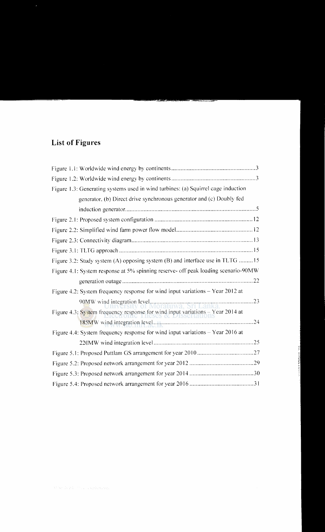## **List of Figures**

| Figure 1.3: Generating systems used in wind turbines: (a) Squirrel cage induction         |
|-------------------------------------------------------------------------------------------|
| generator, (b) Direct drive synchronous generator and (c) Doubly fed                      |
|                                                                                           |
|                                                                                           |
|                                                                                           |
|                                                                                           |
|                                                                                           |
| Figure 3.2: Study system (A) opposing system (B) and interface use in TLTG 15             |
| Figure 4.1: System response at 5% spinning reserve- off peak loading scenario-90MW        |
|                                                                                           |
| Figure 4.2: System frequency response for wind input variations – Year 2012 at            |
| 90MW wind integration level <b>Manufacturer</b> 23<br>UIIIVUISILV OI MOTALUWA, STI LANKA. |
| Figure 4.3: System frequency response for wind input variations - Year 2014 at            |
|                                                                                           |
| Figure 4.4: System frequency response for wind input variations - Year 2016 at            |
|                                                                                           |
|                                                                                           |
|                                                                                           |
|                                                                                           |
|                                                                                           |
|                                                                                           |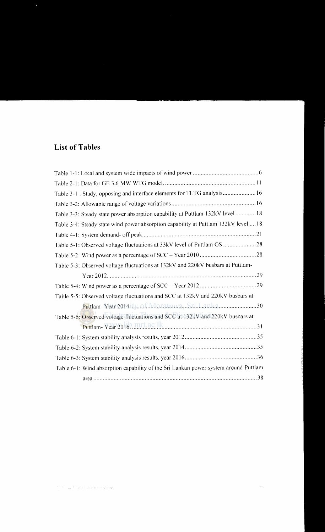### **List of Tables**

| Table 3-1 : Study, opposing and interface elements for TLTG analysis 16             |
|-------------------------------------------------------------------------------------|
|                                                                                     |
| Table 3-3: Steady state power absorption capability at Puttlam 132kV level18        |
| Table 3-4: Steady state wind power absorption capability at Puttlam 132kV level  18 |
|                                                                                     |
| Table 5-1: Observed voltage fluctuations at 33kV level of Puttlam GS                |
|                                                                                     |
| Table 5-3: Observed voltage fluctuations at 132kV and 220kV busbars at Puttlam-     |
|                                                                                     |
|                                                                                     |
| Table 5-5: Observed voltage fluctuations and SCC at 132kV and 220kV busbars at      |
| Puttlam-Year 2014 Ly. of Moratuwa Sri Lanka30                                       |
| Table 5-6: Observed voltage fluctuations and SCC at 132kV and 220kV busbars at      |
|                                                                                     |
|                                                                                     |
|                                                                                     |
|                                                                                     |
| Table 6-1: Wind absorption capability of the Sri Lankan power system around Puttlam |
|                                                                                     |